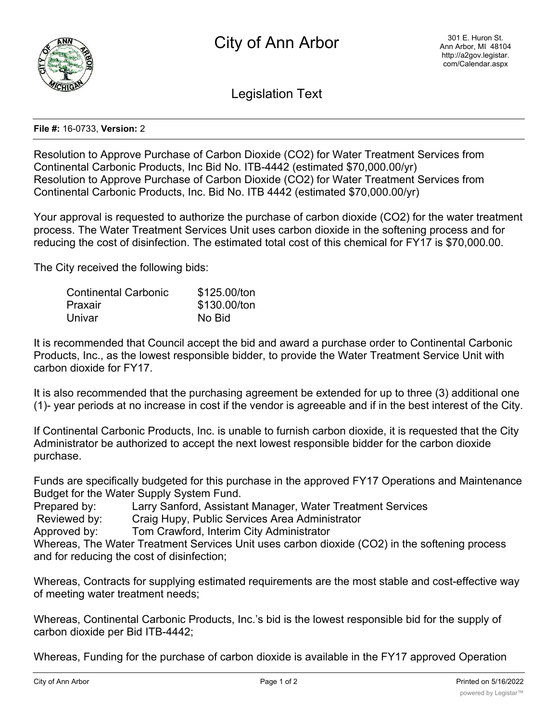

Legislation Text

## **File #:** 16-0733, **Version:** 2

Resolution to Approve Purchase of Carbon Dioxide (CO2) for Water Treatment Services from Continental Carbonic Products, Inc Bid No. ITB-4442 (estimated \$70,000.00/yr) Resolution to Approve Purchase of Carbon Dioxide (CO2) for Water Treatment Services from Continental Carbonic Products, Inc. Bid No. ITB 4442 (estimated \$70,000.00/yr)

Your approval is requested to authorize the purchase of carbon dioxide (CO2) for the water treatment process. The Water Treatment Services Unit uses carbon dioxide in the softening process and for reducing the cost of disinfection. The estimated total cost of this chemical for FY17 is \$70,000.00.

The City received the following bids:

| <b>Continental Carbonic</b> | \$125.00/ton |
|-----------------------------|--------------|
| Praxair                     | \$130.00/ton |
| Univar                      | No Bid       |

It is recommended that Council accept the bid and award a purchase order to Continental Carbonic Products, Inc., as the lowest responsible bidder, to provide the Water Treatment Service Unit with carbon dioxide for FY17.

It is also recommended that the purchasing agreement be extended for up to three (3) additional one (1)- year periods at no increase in cost if the vendor is agreeable and if in the best interest of the City.

If Continental Carbonic Products, Inc. is unable to furnish carbon dioxide, it is requested that the City Administrator be authorized to accept the next lowest responsible bidder for the carbon dioxide purchase.

Funds are specifically budgeted for this purchase in the approved FY17 Operations and Maintenance Budget for the Water Supply System Fund.

Prepared by: Larry Sanford, Assistant Manager, Water Treatment Services

Reviewed by: Craig Hupy, Public Services Area Administrator

Approved by: Tom Crawford, Interim City Administrator

Whereas, The Water Treatment Services Unit uses carbon dioxide (CO2) in the softening process and for reducing the cost of disinfection;

Whereas, Contracts for supplying estimated requirements are the most stable and cost-effective way of meeting water treatment needs;

Whereas, Continental Carbonic Products, Inc.'s bid is the lowest responsible bid for the supply of carbon dioxide per Bid ITB-4442;

Whereas, Funding for the purchase of carbon dioxide is available in the FY17 approved Operation